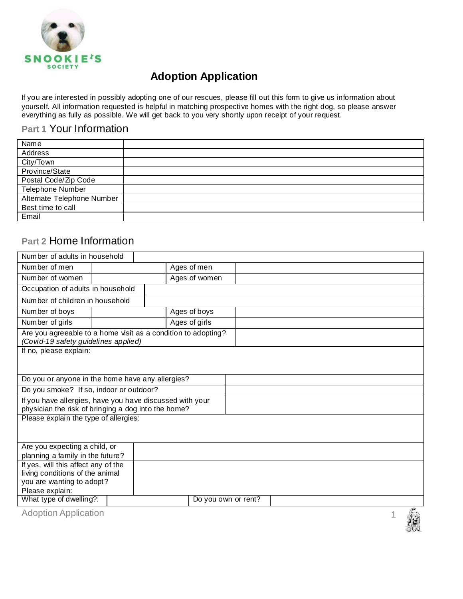

If you are interested in possibly adopting one of our rescues, please fill out this form to give us information about yourself. All information requested is helpful in matching prospective homes with the right dog, so please answer everything as fully as possible. We will get back to you very shortly upon receipt of your request.

#### **Part 1** Your Information

| Address                    |
|----------------------------|
|                            |
| City/Town                  |
| Province/State             |
| Postal Code/Zip Code       |
| <b>Telephone Number</b>    |
| Alternate Telephone Number |
| Best time to call          |
| Email                      |

#### **Part 2** Home Information

| Number of adults in household                            |  |                                                               |            |  |  |  |
|----------------------------------------------------------|--|---------------------------------------------------------------|------------|--|--|--|
| Number of men                                            |  | Ages of men                                                   |            |  |  |  |
| Number of women                                          |  | Ages of women                                                 |            |  |  |  |
| Occupation of adults in household                        |  |                                                               |            |  |  |  |
| Number of children in household                          |  |                                                               |            |  |  |  |
| Number of boys                                           |  | Ages of boys                                                  |            |  |  |  |
| Number of girls                                          |  | Ages of girls                                                 |            |  |  |  |
| (Covid-19 safety guidelines applied)                     |  | Are you agreeable to a home visit as a condition to adopting? |            |  |  |  |
| If no, please explain:                                   |  |                                                               |            |  |  |  |
|                                                          |  |                                                               |            |  |  |  |
| Do you or anyone in the home have any allergies?         |  |                                                               |            |  |  |  |
| Do you smoke? If so, indoor or outdoor?                  |  |                                                               |            |  |  |  |
| If you have allergies, have you have discussed with your |  |                                                               |            |  |  |  |
| physician the risk of bringing a dog into the home?      |  |                                                               |            |  |  |  |
| Please explain the type of allergies:                    |  |                                                               |            |  |  |  |
|                                                          |  |                                                               |            |  |  |  |
| Are you expecting a child, or                            |  |                                                               |            |  |  |  |
| planning a family in the future?                         |  |                                                               |            |  |  |  |
| If yes, will this affect any of the                      |  |                                                               |            |  |  |  |
| living conditions of the animal                          |  |                                                               |            |  |  |  |
| you are wanting to adopt?                                |  |                                                               |            |  |  |  |
| Please explain:                                          |  |                                                               |            |  |  |  |
| What type of dwelling?:                                  |  | Do you own or rent?                                           |            |  |  |  |
| <b>Adoption Application</b>                              |  |                                                               | $\sqrt{1}$ |  |  |  |
|                                                          |  |                                                               |            |  |  |  |

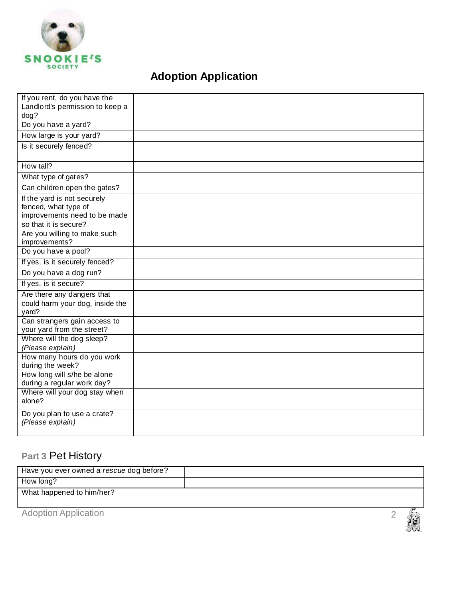

| If you rent, do you have the                            |  |
|---------------------------------------------------------|--|
| Landlord's permission to keep a                         |  |
| dog?                                                    |  |
| Do you have a yard?                                     |  |
| How large is your yard?                                 |  |
| Is it securely fenced?                                  |  |
|                                                         |  |
| How tall?                                               |  |
| What type of gates?                                     |  |
| Can children open the gates?                            |  |
| If the yard is not securely                             |  |
| fenced, what type of                                    |  |
| improvements need to be made                            |  |
| so that it is secure?                                   |  |
| Are you willing to make such<br>improvements?           |  |
| Do you have a pool?                                     |  |
| If yes, is it securely fenced?                          |  |
| Do you have a dog run?                                  |  |
| If yes, is it secure?                                   |  |
| Are there any dangers that                              |  |
| could harm your dog, inside the                         |  |
| yard?                                                   |  |
| Can strangers gain access to                            |  |
| your yard from the street?<br>Where will the dog sleep? |  |
| (Please explain)                                        |  |
| How many hours do you work                              |  |
| during the week?                                        |  |
| How long will s/he be alone                             |  |
| during a regular work day?                              |  |
| Where will your dog stay when                           |  |
| alone?                                                  |  |
| Do you plan to use a crate?                             |  |
| (Please explain)                                        |  |
|                                                         |  |

# **Part 3** Pet History

| Have you ever owned a rescue dog before? |  |  |
|------------------------------------------|--|--|
| How long?                                |  |  |
| What happened to him/her?                |  |  |
|                                          |  |  |
| <b>Adoption Application</b>              |  |  |

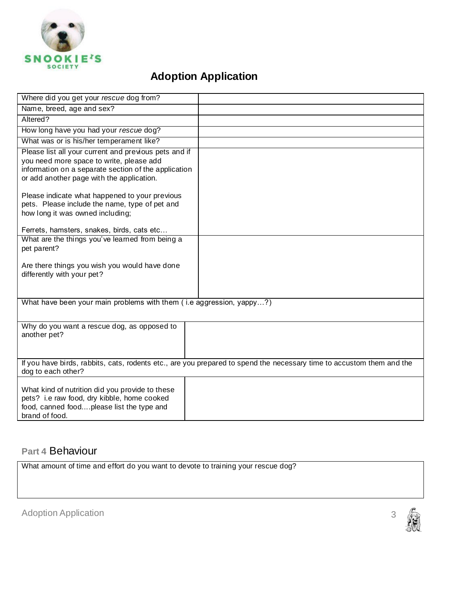

| Where did you get your rescue dog from?                                                                                                                                                                |                                                                                                                       |
|--------------------------------------------------------------------------------------------------------------------------------------------------------------------------------------------------------|-----------------------------------------------------------------------------------------------------------------------|
| Name, breed, age and sex?                                                                                                                                                                              |                                                                                                                       |
| Altered?                                                                                                                                                                                               |                                                                                                                       |
| How long have you had your rescue dog?                                                                                                                                                                 |                                                                                                                       |
| What was or is his/her temperament like?                                                                                                                                                               |                                                                                                                       |
| Please list all your current and previous pets and if<br>you need more space to write, please add<br>information on a separate section of the application<br>or add another page with the application. |                                                                                                                       |
| Please indicate what happened to your previous<br>pets. Please include the name, type of pet and<br>how long it was owned including;<br>Ferrets, hamsters, snakes, birds, cats etc                     |                                                                                                                       |
| What are the things you've learned from being a                                                                                                                                                        |                                                                                                                       |
| pet parent?                                                                                                                                                                                            |                                                                                                                       |
| Are there things you wish you would have done<br>differently with your pet?                                                                                                                            |                                                                                                                       |
| What have been your main problems with them (i.e aggression, yappy?)                                                                                                                                   |                                                                                                                       |
|                                                                                                                                                                                                        |                                                                                                                       |
| Why do you want a rescue dog, as opposed to<br>another pet?                                                                                                                                            |                                                                                                                       |
| dog to each other?                                                                                                                                                                                     | If you have birds, rabbits, cats, rodents etc., are you prepared to spend the necessary time to accustom them and the |
| What kind of nutrition did you provide to these<br>pets? i.e raw food, dry kibble, home cooked<br>food, canned foodplease list the type and<br>brand of food.                                          |                                                                                                                       |

#### **Part 4** Behaviour

What amount of time and effort do you want to devote to training your rescue dog?

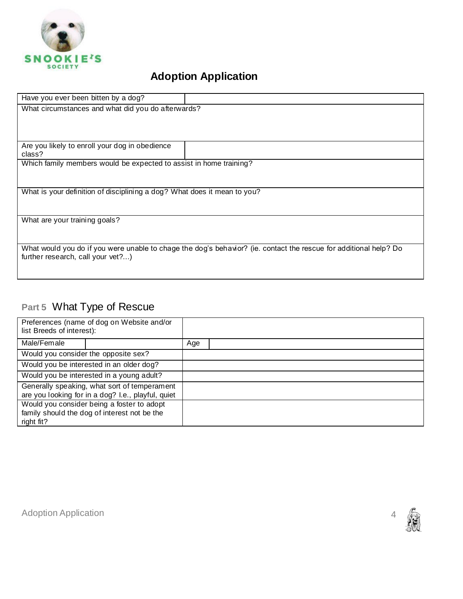

| Have you ever been bitten by a dog?                                                                               |  |
|-------------------------------------------------------------------------------------------------------------------|--|
| What circumstances and what did you do afterwards?                                                                |  |
|                                                                                                                   |  |
|                                                                                                                   |  |
|                                                                                                                   |  |
| Are you likely to enroll your dog in obedience                                                                    |  |
| class?                                                                                                            |  |
| Which family members would be expected to assist in home training?                                                |  |
|                                                                                                                   |  |
|                                                                                                                   |  |
| What is your definition of disciplining a dog? What does it mean to you?                                          |  |
|                                                                                                                   |  |
|                                                                                                                   |  |
| What are your training goals?                                                                                     |  |
|                                                                                                                   |  |
|                                                                                                                   |  |
| What would you do if you were unable to chage the dog's behavior? (ie. contact the rescue for additional help? Do |  |
| further research, call your vet?)                                                                                 |  |
|                                                                                                                   |  |
|                                                                                                                   |  |

# **Part 5** What Type of Rescue

| Preferences (name of dog on Website and/or<br>list Breeds of interest):                            |     |
|----------------------------------------------------------------------------------------------------|-----|
| Male/Female                                                                                        | Age |
| Would you consider the opposite sex?                                                               |     |
| Would you be interested in an older dog?                                                           |     |
| Would you be interested in a young adult?                                                          |     |
| Generally speaking, what sort of temperament<br>are you looking for in a dog? I.e., playful, quiet |     |
| Would you consider being a foster to adopt                                                         |     |
| family should the dog of interest not be the                                                       |     |
| right fit?                                                                                         |     |

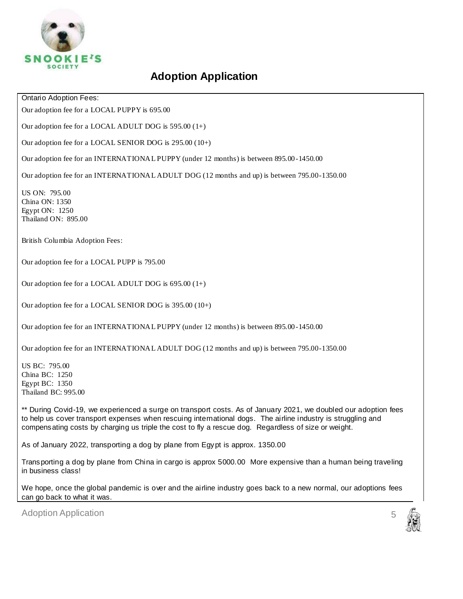

Ontario Adoption Fees:

Our adoption fee for a LOCAL PUPPY is 695.00

Our adoption fee for a LOCAL ADULT DOG is 595.00 (1+)

Our adoption fee for a LOCAL SENIOR DOG is 295.00 (10+)

Our adoption fee for an INTERNATIONAL PUPPY (under 12 months) is between 895.00 -1450.00

Our adoption fee for an INTERNATIONAL ADULT DOG (12 months and up) is between 795.00-1350.00

US ON: 795.00 China ON: 1350 Egypt ON: 1250 Thailand ON: 895.00

British Columbia Adoption Fees:

Our adoption fee for a LOCAL PUPP is 795.00

Our adoption fee for a LOCAL ADULT DOG is 695.00 (1+)

Our adoption fee for a LOCAL SENIOR DOG is 395.00 (10+)

Our adoption fee for an INTERNATIONAL PUPPY (under 12 months) is between 895.00 -1450.00

Our adoption fee for an INTERNATIONAL ADULT DOG (12 months and up) is between 795.00-1350.00

US BC: 795.00 China BC: 1250 Egypt BC: 1350 Thailand BC: 995.00

\*\* During Covid-19, we experienced a surge on transport costs. As of January 2021, we doubled our adoption fees to help us cover transport expenses when rescuing international dogs. The airline industry is struggling and compensating costs by charging us triple the cost to fly a rescue dog. Regardless of size or weight.

As of January 2022, transporting a dog by plane from Egypt is approx. 1350.00

Transporting a dog by plane from China in cargo is approx 5000.00 More expensive than a human being traveling in business class!

We hope, once the global pandemic is over and the airline industry goes back to a new normal, our adoptions fees can go back to what it was.

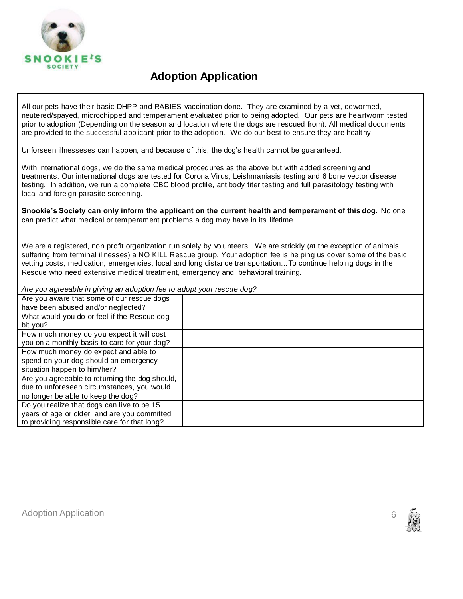

All our pets have their basic DHPP and RABIES vaccination done. They are examined by a vet, dewormed, neutered/spayed, microchipped and temperament evaluated prior to being adopted. Our pets are heartworm tested prior to adoption (Depending on the season and location where the dogs are rescued from). All medical documents are provided to the successful applicant prior to the adoption. We do our best to ensure they are healthy.

Unforseen illnesseses can happen, and because of this, the dog's health cannot be guaranteed.

With international dogs, we do the same medical procedures as the above but with added screening and treatments. Our international dogs are tested for Corona Virus, Leishmaniasis testing and 6 bone vector disease testing. In addition, we run a complete CBC blood profile, antibody titer testing and full parasitology testing with local and foreign parasite screening.

**Snookie's Society can only inform the applicant on the current health and temperament of this dog.** No one can predict what medical or temperament problems a dog may have in its lifetime.

We are a registered, non profit organization run solely by volunteers. We are strickly (at the exception of animals suffering from terminal illnesses) a NO KILL Rescue group. Your adoption fee is helping us cover some of the basic vetting costs, medication, emergencies, local and long distance transportation...To continue helping dogs in the Rescue who need extensive medical treatment, emergency and behavioral training.

*Are you agreeable in giving an adoption fee to adopt your rescue dog?* 

| Are you aware that some of our rescue dogs     |  |
|------------------------------------------------|--|
| have been abused and/or neglected?             |  |
| What would you do or feel if the Rescue dog    |  |
| bit you?                                       |  |
| How much money do you expect it will cost      |  |
| you on a monthly basis to care for your dog?   |  |
| How much money do expect and able to           |  |
| spend on your dog should an emergency          |  |
| situation happen to him/her?                   |  |
| Are you agreeable to returning the dog should, |  |
| due to unforeseen circumstances, you would     |  |
| no longer be able to keep the dog?             |  |
| Do you realize that dogs can live to be 15     |  |
| years of age or older, and are you committed   |  |
|                                                |  |
| to providing responsible care for that long?   |  |

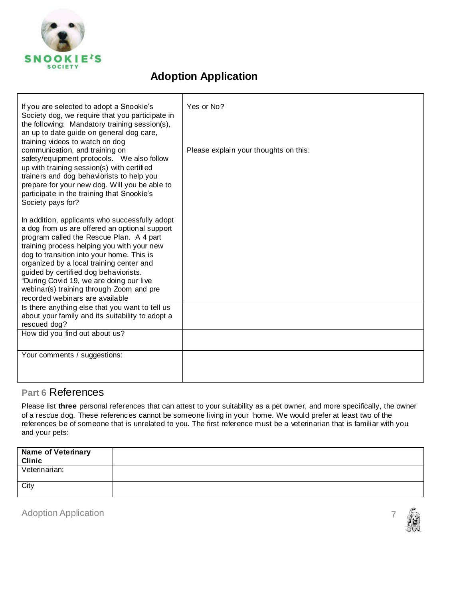

| If you are selected to adopt a Snookie's<br>Society dog, we require that you participate in<br>the following: Mandatory training session(s),<br>an up to date guide on general dog care,<br>training videos to watch on dog<br>communication, and training on<br>safety/equipment protocols. We also follow<br>up with training session(s) with certified<br>trainers and dog behaviorists to help you<br>prepare for your new dog. Will you be able to<br>participate in the training that Snookie's<br>Society pays for? | Yes or No?<br>Please explain your thoughts on this: |
|----------------------------------------------------------------------------------------------------------------------------------------------------------------------------------------------------------------------------------------------------------------------------------------------------------------------------------------------------------------------------------------------------------------------------------------------------------------------------------------------------------------------------|-----------------------------------------------------|
| In addition, applicants who successfully adopt<br>a dog from us are offered an optional support<br>program called the Rescue Plan. A 4 part<br>training process helping you with your new<br>dog to transition into your home. This is<br>organized by a local training center and<br>guided by certified dog behaviorists.<br>"During Covid 19, we are doing our live<br>webinar(s) training through Zoom and pre<br>recorded webinars are available                                                                      |                                                     |
| Is there anything else that you want to tell us<br>about your family and its suitability to adopt a<br>rescued dog?                                                                                                                                                                                                                                                                                                                                                                                                        |                                                     |
| How did you find out about us?                                                                                                                                                                                                                                                                                                                                                                                                                                                                                             |                                                     |
| Your comments / suggestions:                                                                                                                                                                                                                                                                                                                                                                                                                                                                                               |                                                     |

#### **Part 6** References

Please list **three** personal references that can attest to your suitability as a pet owner, and more specifically, the owner of a rescue dog. These references cannot be someone living in your home. We would prefer at least two of the references be of someone that is unrelated to you. The first reference must be a veterinarian that is familiar with you and your pets:

| <b>Name of Veterinary</b><br><b>Clinic</b> |  |
|--------------------------------------------|--|
| Veterinarian:                              |  |
| City                                       |  |

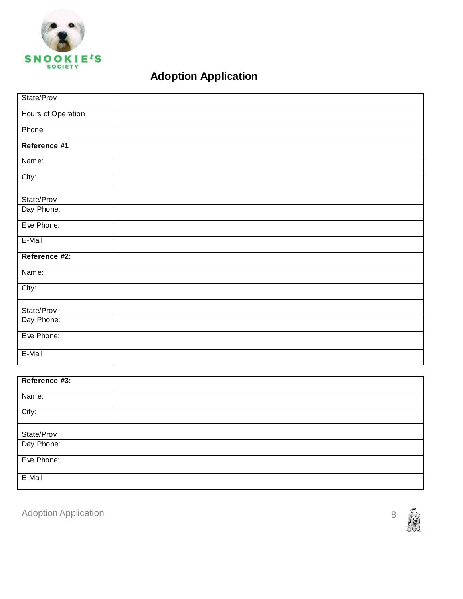

| Reference #3:             |  |  |  |
|---------------------------|--|--|--|
| Name:                     |  |  |  |
| City:                     |  |  |  |
| State/Prov.<br>Day Phone: |  |  |  |
|                           |  |  |  |
| Eve Phone:                |  |  |  |
| E-Mail                    |  |  |  |